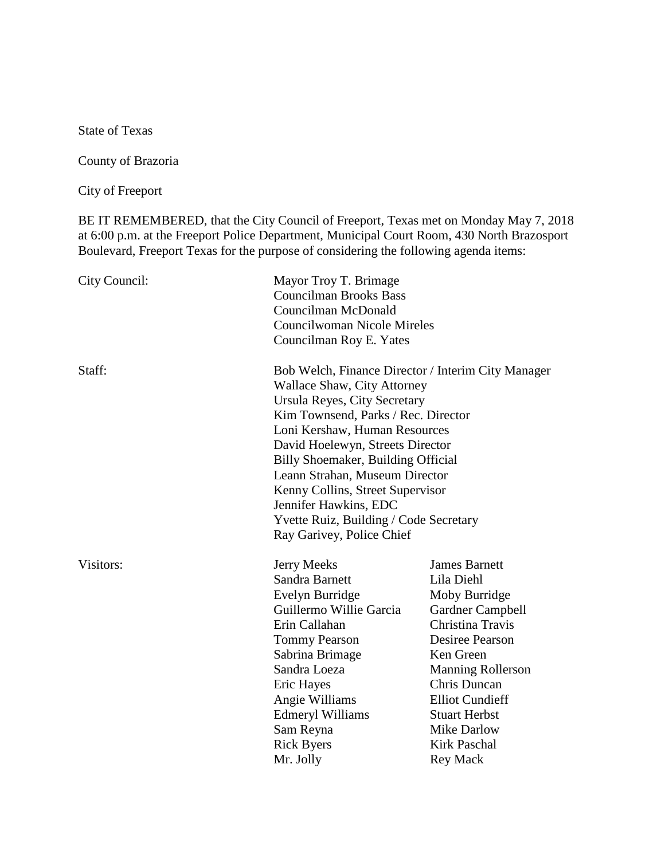State of Texas

County of Brazoria

City of Freeport

BE IT REMEMBERED, that the City Council of Freeport, Texas met on Monday May 7, 2018 at 6:00 p.m. at the Freeport Police Department, Municipal Court Room, 430 North Brazosport Boulevard, Freeport Texas for the purpose of considering the following agenda items:

| City Council: | Mayor Troy T. Brimage<br><b>Councilman Brooks Bass</b><br>Councilman McDonald<br><b>Councilwoman Nicole Mireles</b><br>Councilman Roy E. Yates                                                                                                                                                                                                                                                                                            |                                                                                                                                                                                                                                                                                                         |
|---------------|-------------------------------------------------------------------------------------------------------------------------------------------------------------------------------------------------------------------------------------------------------------------------------------------------------------------------------------------------------------------------------------------------------------------------------------------|---------------------------------------------------------------------------------------------------------------------------------------------------------------------------------------------------------------------------------------------------------------------------------------------------------|
| Staff:        | Bob Welch, Finance Director / Interim City Manager<br>Wallace Shaw, City Attorney<br>Ursula Reyes, City Secretary<br>Kim Townsend, Parks / Rec. Director<br>Loni Kershaw, Human Resources<br>David Hoelewyn, Streets Director<br>Billy Shoemaker, Building Official<br>Leann Strahan, Museum Director<br>Kenny Collins, Street Supervisor<br>Jennifer Hawkins, EDC<br>Yvette Ruiz, Building / Code Secretary<br>Ray Garivey, Police Chief |                                                                                                                                                                                                                                                                                                         |
| Visitors:     | <b>Jerry Meeks</b><br>Sandra Barnett<br>Evelyn Burridge<br>Guillermo Willie Garcia<br>Erin Callahan<br><b>Tommy Pearson</b><br>Sabrina Brimage<br>Sandra Loeza<br><b>Eric Hayes</b><br>Angie Williams<br><b>Edmeryl Williams</b><br>Sam Reyna<br><b>Rick Byers</b><br>Mr. Jolly                                                                                                                                                           | <b>James Barnett</b><br>Lila Diehl<br>Moby Burridge<br>Gardner Campbell<br>Christina Travis<br><b>Desiree Pearson</b><br>Ken Green<br><b>Manning Rollerson</b><br><b>Chris Duncan</b><br><b>Elliot Cundieff</b><br><b>Stuart Herbst</b><br><b>Mike Darlow</b><br><b>Kirk Paschal</b><br><b>Rey Mack</b> |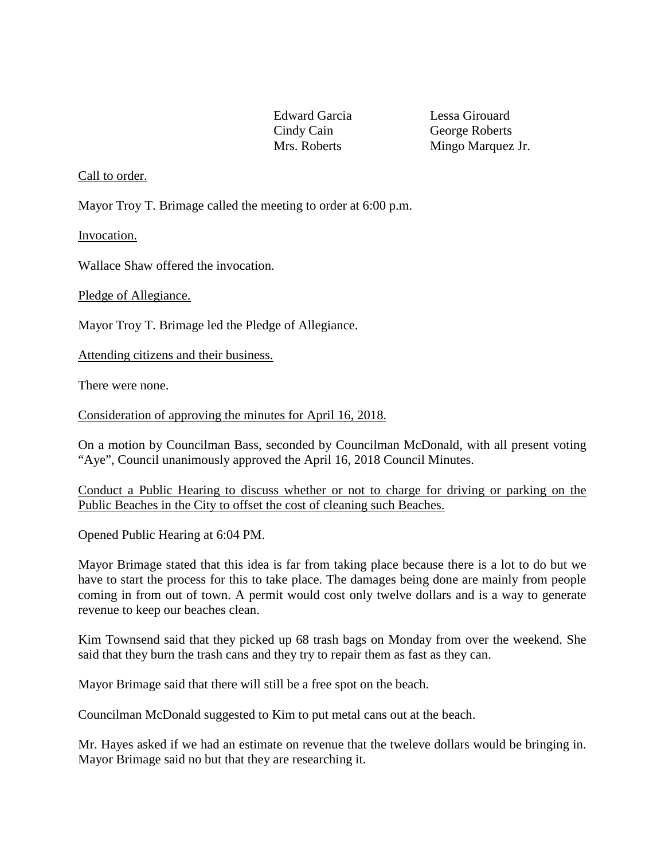Edward Garcia Lessa Girouard

Cindy Cain George Roberts Mrs. Roberts Mingo Marquez Jr.

## Call to order.

Mayor Troy T. Brimage called the meeting to order at 6:00 p.m.

Invocation.

Wallace Shaw offered the invocation.

Pledge of Allegiance.

Mayor Troy T. Brimage led the Pledge of Allegiance.

Attending citizens and their business.

There were none.

Consideration of approving the minutes for April 16, 2018.

On a motion by Councilman Bass, seconded by Councilman McDonald, with all present voting "Aye", Council unanimously approved the April 16, 2018 Council Minutes.

Conduct a Public Hearing to discuss whether or not to charge for driving or parking on the Public Beaches in the City to offset the cost of cleaning such Beaches.

Opened Public Hearing at 6:04 PM.

Mayor Brimage stated that this idea is far from taking place because there is a lot to do but we have to start the process for this to take place. The damages being done are mainly from people coming in from out of town. A permit would cost only twelve dollars and is a way to generate revenue to keep our beaches clean.

Kim Townsend said that they picked up 68 trash bags on Monday from over the weekend. She said that they burn the trash cans and they try to repair them as fast as they can.

Mayor Brimage said that there will still be a free spot on the beach.

Councilman McDonald suggested to Kim to put metal cans out at the beach.

Mr. Hayes asked if we had an estimate on revenue that the tweleve dollars would be bringing in. Mayor Brimage said no but that they are researching it.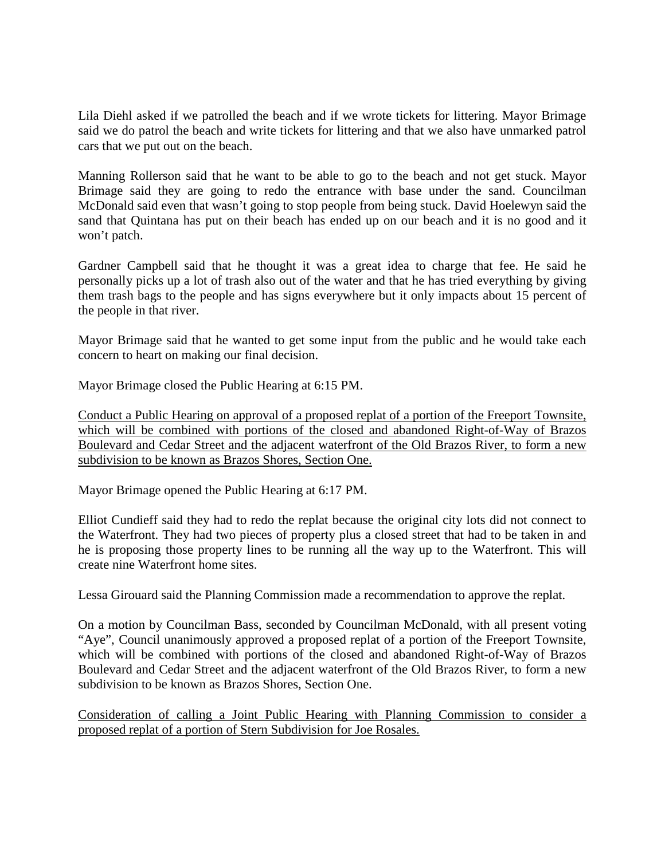Lila Diehl asked if we patrolled the beach and if we wrote tickets for littering. Mayor Brimage said we do patrol the beach and write tickets for littering and that we also have unmarked patrol cars that we put out on the beach.

Manning Rollerson said that he want to be able to go to the beach and not get stuck. Mayor Brimage said they are going to redo the entrance with base under the sand. Councilman McDonald said even that wasn't going to stop people from being stuck. David Hoelewyn said the sand that Quintana has put on their beach has ended up on our beach and it is no good and it won't patch.

Gardner Campbell said that he thought it was a great idea to charge that fee. He said he personally picks up a lot of trash also out of the water and that he has tried everything by giving them trash bags to the people and has signs everywhere but it only impacts about 15 percent of the people in that river.

Mayor Brimage said that he wanted to get some input from the public and he would take each concern to heart on making our final decision.

Mayor Brimage closed the Public Hearing at 6:15 PM.

Conduct a Public Hearing on approval of a proposed replat of a portion of the Freeport Townsite, which will be combined with portions of the closed and abandoned Right-of-Way of Brazos Boulevard and Cedar Street and the adjacent waterfront of the Old Brazos River, to form a new subdivision to be known as Brazos Shores, Section One.

Mayor Brimage opened the Public Hearing at 6:17 PM.

Elliot Cundieff said they had to redo the replat because the original city lots did not connect to the Waterfront. They had two pieces of property plus a closed street that had to be taken in and he is proposing those property lines to be running all the way up to the Waterfront. This will create nine Waterfront home sites.

Lessa Girouard said the Planning Commission made a recommendation to approve the replat.

On a motion by Councilman Bass, seconded by Councilman McDonald, with all present voting "Aye", Council unanimously approved a proposed replat of a portion of the Freeport Townsite, which will be combined with portions of the closed and abandoned Right-of-Way of Brazos Boulevard and Cedar Street and the adjacent waterfront of the Old Brazos River, to form a new subdivision to be known as Brazos Shores, Section One.

Consideration of calling a Joint Public Hearing with Planning Commission to consider a proposed replat of a portion of Stern Subdivision for Joe Rosales.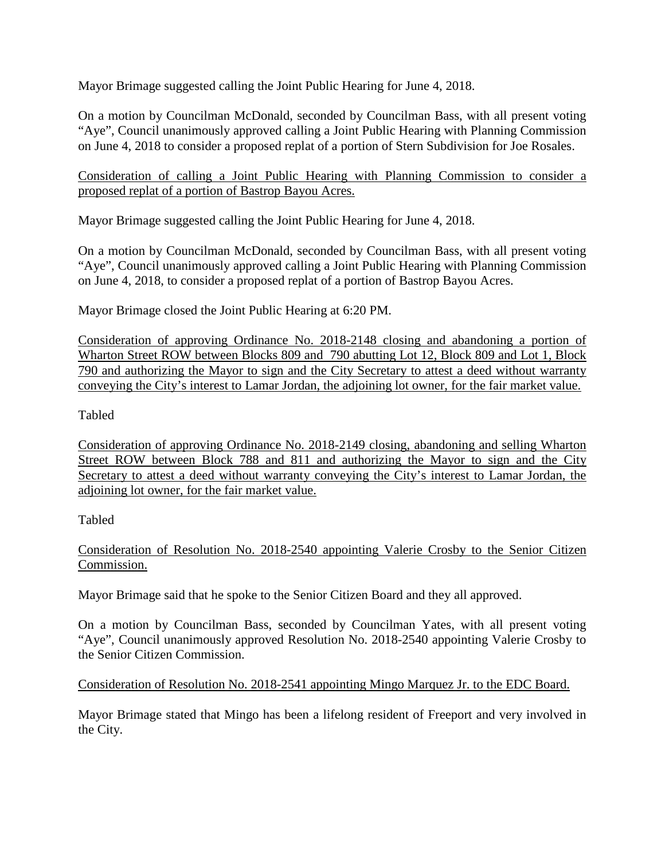Mayor Brimage suggested calling the Joint Public Hearing for June 4, 2018.

On a motion by Councilman McDonald, seconded by Councilman Bass, with all present voting "Aye", Council unanimously approved calling a Joint Public Hearing with Planning Commission on June 4, 2018 to consider a proposed replat of a portion of Stern Subdivision for Joe Rosales.

Consideration of calling a Joint Public Hearing with Planning Commission to consider a proposed replat of a portion of Bastrop Bayou Acres.

Mayor Brimage suggested calling the Joint Public Hearing for June 4, 2018.

On a motion by Councilman McDonald, seconded by Councilman Bass, with all present voting "Aye", Council unanimously approved calling a Joint Public Hearing with Planning Commission on June 4, 2018, to consider a proposed replat of a portion of Bastrop Bayou Acres.

Mayor Brimage closed the Joint Public Hearing at 6:20 PM.

Consideration of approving Ordinance No. 2018-2148 closing and abandoning a portion of Wharton Street ROW between Blocks 809 and 790 abutting Lot 12, Block 809 and Lot 1, Block 790 and authorizing the Mayor to sign and the City Secretary to attest a deed without warranty conveying the City's interest to Lamar Jordan, the adjoining lot owner, for the fair market value.

# Tabled

Consideration of approving Ordinance No. 2018-2149 closing, abandoning and selling Wharton Street ROW between Block 788 and 811 and authorizing the Mayor to sign and the City Secretary to attest a deed without warranty conveying the City's interest to Lamar Jordan, the adjoining lot owner, for the fair market value.

Tabled

Consideration of Resolution No. 2018-2540 appointing Valerie Crosby to the Senior Citizen Commission.

Mayor Brimage said that he spoke to the Senior Citizen Board and they all approved.

On a motion by Councilman Bass, seconded by Councilman Yates, with all present voting "Aye", Council unanimously approved Resolution No. 2018-2540 appointing Valerie Crosby to the Senior Citizen Commission.

# Consideration of Resolution No. 2018-2541 appointing Mingo Marquez Jr. to the EDC Board.

Mayor Brimage stated that Mingo has been a lifelong resident of Freeport and very involved in the City.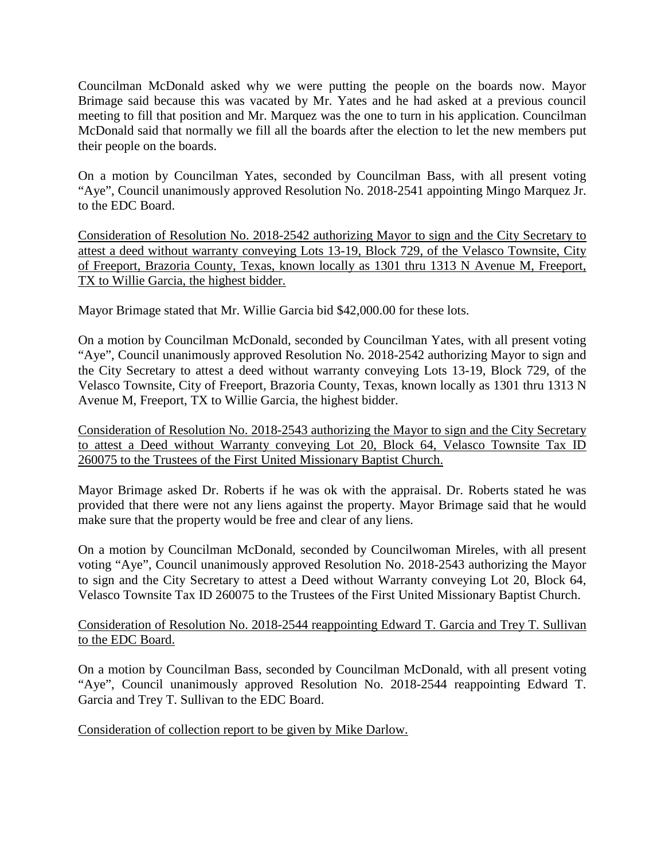Councilman McDonald asked why we were putting the people on the boards now. Mayor Brimage said because this was vacated by Mr. Yates and he had asked at a previous council meeting to fill that position and Mr. Marquez was the one to turn in his application. Councilman McDonald said that normally we fill all the boards after the election to let the new members put their people on the boards.

On a motion by Councilman Yates, seconded by Councilman Bass, with all present voting "Aye", Council unanimously approved Resolution No. 2018-2541 appointing Mingo Marquez Jr. to the EDC Board.

Consideration of Resolution No. 2018-2542 authorizing Mayor to sign and the City Secretary to attest a deed without warranty conveying Lots 13-19, Block 729, of the Velasco Townsite, City of Freeport, Brazoria County, Texas, known locally as 1301 thru 1313 N Avenue M, Freeport, TX to Willie Garcia, the highest bidder.

Mayor Brimage stated that Mr. Willie Garcia bid \$42,000.00 for these lots.

On a motion by Councilman McDonald, seconded by Councilman Yates, with all present voting "Aye", Council unanimously approved Resolution No. 2018-2542 authorizing Mayor to sign and the City Secretary to attest a deed without warranty conveying Lots 13-19, Block 729, of the Velasco Townsite, City of Freeport, Brazoria County, Texas, known locally as 1301 thru 1313 N Avenue M, Freeport, TX to Willie Garcia, the highest bidder.

Consideration of Resolution No. 2018-2543 authorizing the Mayor to sign and the City Secretary to attest a Deed without Warranty conveying Lot 20, Block 64, Velasco Townsite Tax ID 260075 to the Trustees of the First United Missionary Baptist Church.

Mayor Brimage asked Dr. Roberts if he was ok with the appraisal. Dr. Roberts stated he was provided that there were not any liens against the property. Mayor Brimage said that he would make sure that the property would be free and clear of any liens.

On a motion by Councilman McDonald, seconded by Councilwoman Mireles, with all present voting "Aye", Council unanimously approved Resolution No. 2018-2543 authorizing the Mayor to sign and the City Secretary to attest a Deed without Warranty conveying Lot 20, Block 64, Velasco Townsite Tax ID 260075 to the Trustees of the First United Missionary Baptist Church.

Consideration of Resolution No. 2018-2544 reappointing Edward T. Garcia and Trey T. Sullivan to the EDC Board.

On a motion by Councilman Bass, seconded by Councilman McDonald, with all present voting "Aye", Council unanimously approved Resolution No. 2018-2544 reappointing Edward T. Garcia and Trey T. Sullivan to the EDC Board.

Consideration of collection report to be given by Mike Darlow.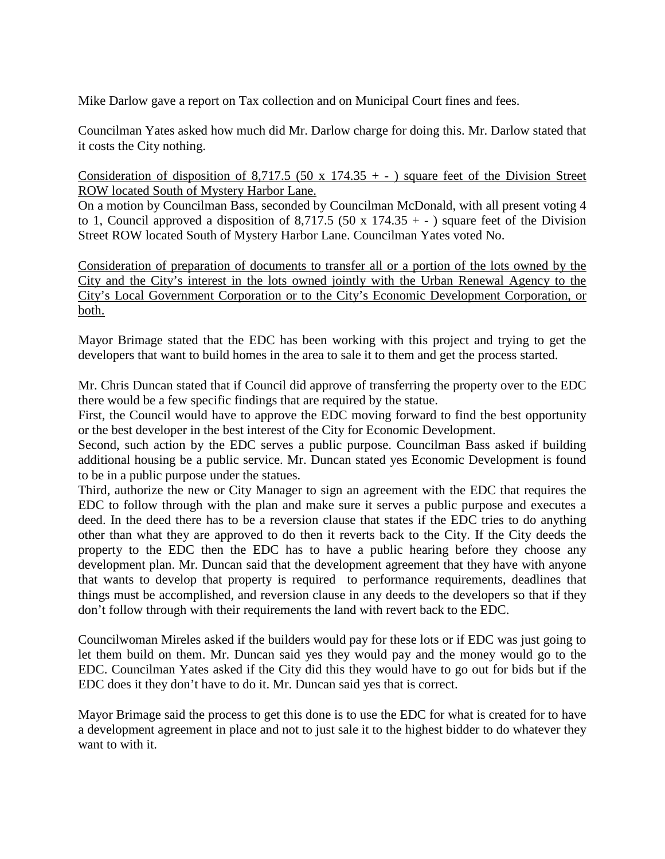Mike Darlow gave a report on Tax collection and on Municipal Court fines and fees.

Councilman Yates asked how much did Mr. Darlow charge for doing this. Mr. Darlow stated that it costs the City nothing.

Consideration of disposition of 8,717.5 (50 x 174.35 + - ) square feet of the Division Street ROW located South of Mystery Harbor Lane.

On a motion by Councilman Bass, seconded by Councilman McDonald, with all present voting 4 to 1, Council approved a disposition of 8,717.5 (50 x 174.35 + - ) square feet of the Division Street ROW located South of Mystery Harbor Lane. Councilman Yates voted No.

Consideration of preparation of documents to transfer all or a portion of the lots owned by the City and the City's interest in the lots owned jointly with the Urban Renewal Agency to the City's Local Government Corporation or to the City's Economic Development Corporation, or both.

Mayor Brimage stated that the EDC has been working with this project and trying to get the developers that want to build homes in the area to sale it to them and get the process started.

Mr. Chris Duncan stated that if Council did approve of transferring the property over to the EDC there would be a few specific findings that are required by the statue.

First, the Council would have to approve the EDC moving forward to find the best opportunity or the best developer in the best interest of the City for Economic Development.

Second, such action by the EDC serves a public purpose. Councilman Bass asked if building additional housing be a public service. Mr. Duncan stated yes Economic Development is found to be in a public purpose under the statues.

Third, authorize the new or City Manager to sign an agreement with the EDC that requires the EDC to follow through with the plan and make sure it serves a public purpose and executes a deed. In the deed there has to be a reversion clause that states if the EDC tries to do anything other than what they are approved to do then it reverts back to the City. If the City deeds the property to the EDC then the EDC has to have a public hearing before they choose any development plan. Mr. Duncan said that the development agreement that they have with anyone that wants to develop that property is required to performance requirements, deadlines that things must be accomplished, and reversion clause in any deeds to the developers so that if they don't follow through with their requirements the land with revert back to the EDC.

Councilwoman Mireles asked if the builders would pay for these lots or if EDC was just going to let them build on them. Mr. Duncan said yes they would pay and the money would go to the EDC. Councilman Yates asked if the City did this they would have to go out for bids but if the EDC does it they don't have to do it. Mr. Duncan said yes that is correct.

Mayor Brimage said the process to get this done is to use the EDC for what is created for to have a development agreement in place and not to just sale it to the highest bidder to do whatever they want to with it.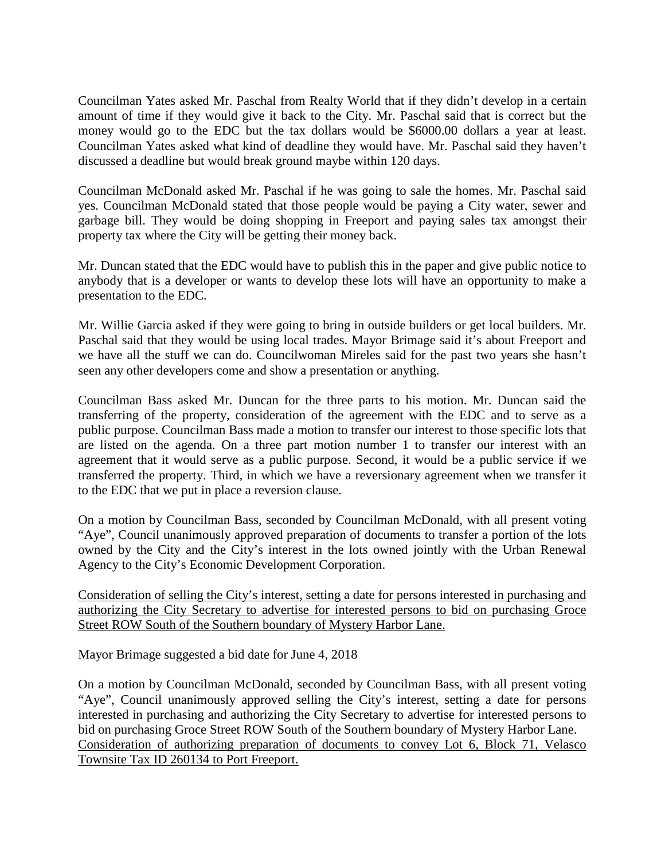Councilman Yates asked Mr. Paschal from Realty World that if they didn't develop in a certain amount of time if they would give it back to the City. Mr. Paschal said that is correct but the money would go to the EDC but the tax dollars would be \$6000.00 dollars a year at least. Councilman Yates asked what kind of deadline they would have. Mr. Paschal said they haven't discussed a deadline but would break ground maybe within 120 days.

Councilman McDonald asked Mr. Paschal if he was going to sale the homes. Mr. Paschal said yes. Councilman McDonald stated that those people would be paying a City water, sewer and garbage bill. They would be doing shopping in Freeport and paying sales tax amongst their property tax where the City will be getting their money back.

Mr. Duncan stated that the EDC would have to publish this in the paper and give public notice to anybody that is a developer or wants to develop these lots will have an opportunity to make a presentation to the EDC.

Mr. Willie Garcia asked if they were going to bring in outside builders or get local builders. Mr. Paschal said that they would be using local trades. Mayor Brimage said it's about Freeport and we have all the stuff we can do. Councilwoman Mireles said for the past two years she hasn't seen any other developers come and show a presentation or anything.

Councilman Bass asked Mr. Duncan for the three parts to his motion. Mr. Duncan said the transferring of the property, consideration of the agreement with the EDC and to serve as a public purpose. Councilman Bass made a motion to transfer our interest to those specific lots that are listed on the agenda. On a three part motion number 1 to transfer our interest with an agreement that it would serve as a public purpose. Second, it would be a public service if we transferred the property. Third, in which we have a reversionary agreement when we transfer it to the EDC that we put in place a reversion clause.

On a motion by Councilman Bass, seconded by Councilman McDonald, with all present voting "Aye", Council unanimously approved preparation of documents to transfer a portion of the lots owned by the City and the City's interest in the lots owned jointly with the Urban Renewal Agency to the City's Economic Development Corporation.

Consideration of selling the City's interest, setting a date for persons interested in purchasing and authorizing the City Secretary to advertise for interested persons to bid on purchasing Groce Street ROW South of the Southern boundary of Mystery Harbor Lane.

Mayor Brimage suggested a bid date for June 4, 2018

On a motion by Councilman McDonald, seconded by Councilman Bass, with all present voting "Aye", Council unanimously approved selling the City's interest, setting a date for persons interested in purchasing and authorizing the City Secretary to advertise for interested persons to bid on purchasing Groce Street ROW South of the Southern boundary of Mystery Harbor Lane. Consideration of authorizing preparation of documents to convey Lot 6, Block 71, Velasco Townsite Tax ID 260134 to Port Freeport.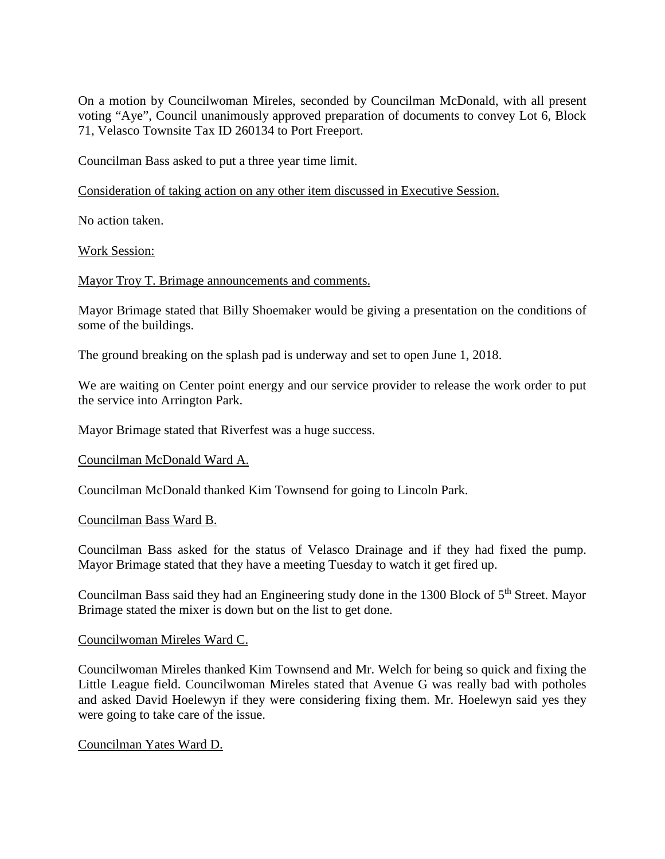On a motion by Councilwoman Mireles, seconded by Councilman McDonald, with all present voting "Aye", Council unanimously approved preparation of documents to convey Lot 6, Block 71, Velasco Townsite Tax ID 260134 to Port Freeport.

Councilman Bass asked to put a three year time limit.

Consideration of taking action on any other item discussed in Executive Session.

No action taken.

Work Session:

Mayor Troy T. Brimage announcements and comments.

Mayor Brimage stated that Billy Shoemaker would be giving a presentation on the conditions of some of the buildings.

The ground breaking on the splash pad is underway and set to open June 1, 2018.

We are waiting on Center point energy and our service provider to release the work order to put the service into Arrington Park.

Mayor Brimage stated that Riverfest was a huge success.

#### Councilman McDonald Ward A.

Councilman McDonald thanked Kim Townsend for going to Lincoln Park.

Councilman Bass Ward B.

Councilman Bass asked for the status of Velasco Drainage and if they had fixed the pump. Mayor Brimage stated that they have a meeting Tuesday to watch it get fired up.

Councilman Bass said they had an Engineering study done in the 1300 Block of 5th Street. Mayor Brimage stated the mixer is down but on the list to get done.

#### Councilwoman Mireles Ward C.

Councilwoman Mireles thanked Kim Townsend and Mr. Welch for being so quick and fixing the Little League field. Councilwoman Mireles stated that Avenue G was really bad with potholes and asked David Hoelewyn if they were considering fixing them. Mr. Hoelewyn said yes they were going to take care of the issue.

Councilman Yates Ward D.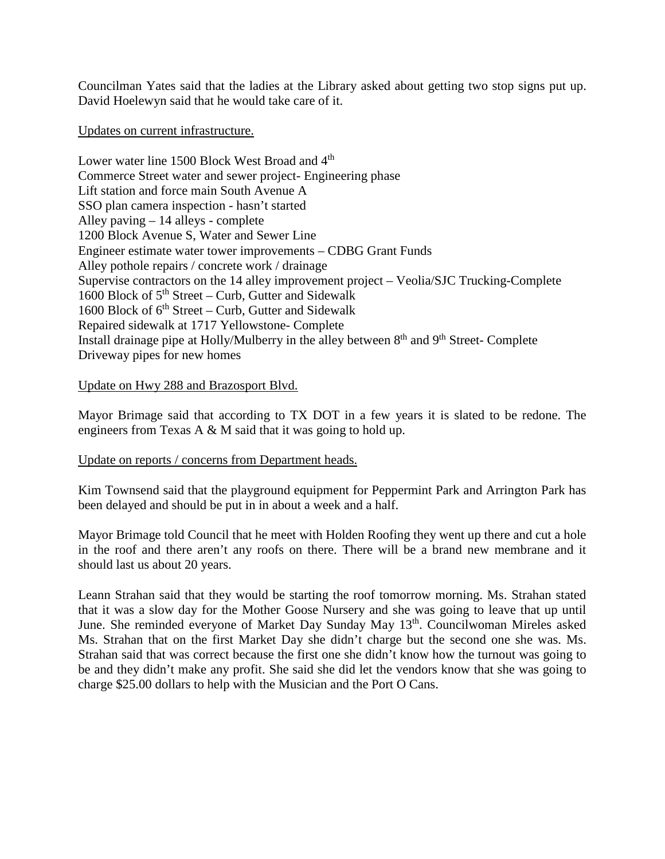Councilman Yates said that the ladies at the Library asked about getting two stop signs put up. David Hoelewyn said that he would take care of it.

### Updates on current infrastructure.

Lower water line 1500 Block West Broad and 4<sup>th</sup> Commerce Street water and sewer project- Engineering phase Lift station and force main South Avenue A SSO plan camera inspection - hasn't started Alley paving – 14 alleys - complete 1200 Block Avenue S, Water and Sewer Line Engineer estimate water tower improvements – CDBG Grant Funds Alley pothole repairs / concrete work / drainage Supervise contractors on the 14 alley improvement project – Veolia/SJC Trucking-Complete 1600 Block of  $5<sup>th</sup> Street - Curb$ , Gutter and Sidewalk 1600 Block of  $6<sup>th</sup> Street - Curb$ , Gutter and Sidewalk Repaired sidewalk at 1717 Yellowstone- Complete Install drainage pipe at Holly/Mulberry in the alley between  $8<sup>th</sup>$  and  $9<sup>th</sup>$  Street-Complete Driveway pipes for new homes

## Update on Hwy 288 and Brazosport Blvd.

Mayor Brimage said that according to TX DOT in a few years it is slated to be redone. The engineers from Texas A & M said that it was going to hold up.

## Update on reports / concerns from Department heads.

Kim Townsend said that the playground equipment for Peppermint Park and Arrington Park has been delayed and should be put in in about a week and a half.

Mayor Brimage told Council that he meet with Holden Roofing they went up there and cut a hole in the roof and there aren't any roofs on there. There will be a brand new membrane and it should last us about 20 years.

Leann Strahan said that they would be starting the roof tomorrow morning. Ms. Strahan stated that it was a slow day for the Mother Goose Nursery and she was going to leave that up until June. She reminded everyone of Market Day Sunday May 13<sup>th</sup>. Councilwoman Mireles asked Ms. Strahan that on the first Market Day she didn't charge but the second one she was. Ms. Strahan said that was correct because the first one she didn't know how the turnout was going to be and they didn't make any profit. She said she did let the vendors know that she was going to charge \$25.00 dollars to help with the Musician and the Port O Cans.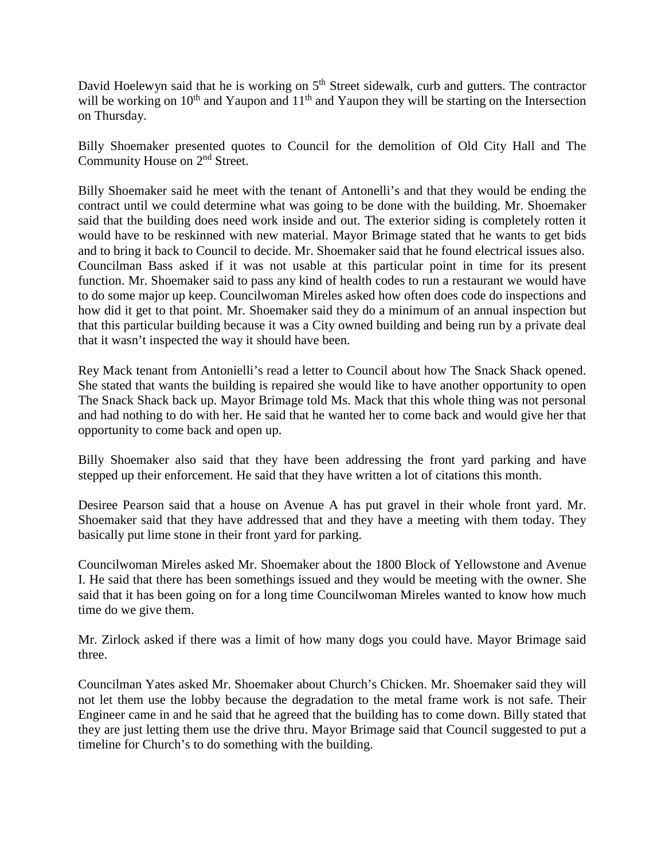David Hoelewyn said that he is working on  $5<sup>th</sup>$  Street sidewalk, curb and gutters. The contractor will be working on  $10^{th}$  and Yaupon and  $11^{th}$  and Yaupon they will be starting on the Intersection on Thursday.

Billy Shoemaker presented quotes to Council for the demolition of Old City Hall and The Community House on 2nd Street.

Billy Shoemaker said he meet with the tenant of Antonelli's and that they would be ending the contract until we could determine what was going to be done with the building. Mr. Shoemaker said that the building does need work inside and out. The exterior siding is completely rotten it would have to be reskinned with new material. Mayor Brimage stated that he wants to get bids and to bring it back to Council to decide. Mr. Shoemaker said that he found electrical issues also. Councilman Bass asked if it was not usable at this particular point in time for its present function. Mr. Shoemaker said to pass any kind of health codes to run a restaurant we would have to do some major up keep. Councilwoman Mireles asked how often does code do inspections and how did it get to that point. Mr. Shoemaker said they do a minimum of an annual inspection but that this particular building because it was a City owned building and being run by a private deal that it wasn't inspected the way it should have been.

Rey Mack tenant from Antonielli's read a letter to Council about how The Snack Shack opened. She stated that wants the building is repaired she would like to have another opportunity to open The Snack Shack back up. Mayor Brimage told Ms. Mack that this whole thing was not personal and had nothing to do with her. He said that he wanted her to come back and would give her that opportunity to come back and open up.

Billy Shoemaker also said that they have been addressing the front yard parking and have stepped up their enforcement. He said that they have written a lot of citations this month.

Desiree Pearson said that a house on Avenue A has put gravel in their whole front yard. Mr. Shoemaker said that they have addressed that and they have a meeting with them today. They basically put lime stone in their front yard for parking.

Councilwoman Mireles asked Mr. Shoemaker about the 1800 Block of Yellowstone and Avenue I. He said that there has been somethings issued and they would be meeting with the owner. She said that it has been going on for a long time Councilwoman Mireles wanted to know how much time do we give them.

Mr. Zirlock asked if there was a limit of how many dogs you could have. Mayor Brimage said three.

Councilman Yates asked Mr. Shoemaker about Church's Chicken. Mr. Shoemaker said they will not let them use the lobby because the degradation to the metal frame work is not safe. Their Engineer came in and he said that he agreed that the building has to come down. Billy stated that they are just letting them use the drive thru. Mayor Brimage said that Council suggested to put a timeline for Church's to do something with the building.